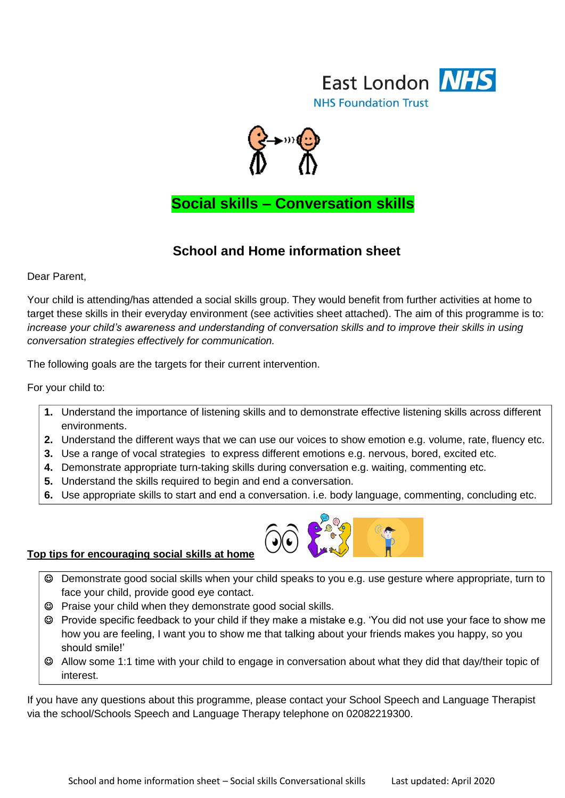



 **Social skills – Conversation skills**

#### **School and Home information sheet**

Dear Parent,

Your child is attending/has attended a social skills group. They would benefit from further activities at home to target these skills in their everyday environment (see activities sheet attached). The aim of this programme is to: *increase your child's awareness and understanding of conversation skills and to improve their skills in using conversation strategies effectively for communication.* 

The following goals are the targets for their current intervention.

For your child to:

- **1.** Understand the importance of listening skills and to demonstrate effective listening skills across different environments.
- **2.** Understand the different ways that we can use our voices to show emotion e.g. volume, rate, fluency etc.
- **3.** Use a range of vocal strategies to express different emotions e.g. nervous, bored, excited etc.
- **4.** Demonstrate appropriate turn-taking skills during conversation e.g. waiting, commenting etc.
- **5.** Understand the skills required to begin and end a conversation.
- **6.** Use appropriate skills to start and end a conversation. i.e. body language, commenting, concluding etc.



#### **Top tips for encouraging social skills at home**

- Demonstrate good social skills when your child speaks to you e.g. use gesture where appropriate, turn to face your child, provide good eye contact.
- Praise your child when they demonstrate good social skills.
- Provide specific feedback to your child if they make a mistake e.g. 'You did not use your face to show me how you are feeling, I want you to show me that talking about your friends makes you happy, so you should smile!'
- Allow some 1:1 time with your child to engage in conversation about what they did that day/their topic of interest.

If you have any questions about this programme, please contact your School Speech and Language Therapist via the school/Schools Speech and Language Therapy telephone on 02082219300.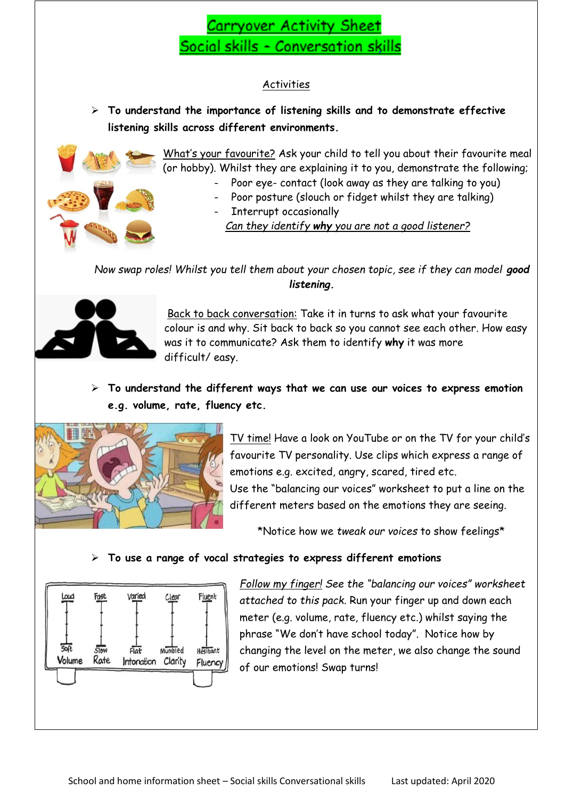## Carryover Activity Sheet Social skills - Conversation skills

#### **Activities**

 **To understand the importance of listening skills and to demonstrate effective listening skills across different environments.**



What"s your favourite? Ask your child to tell you about their favourite meal (or hobby). Whilst they are explaining it to you, demonstrate the following;

- Poor eye- contact (look away as they are talking to you)
- Poor posture (slouch or fidget whilst they are talking) Interrupt occasionally

*Can they identify why you are not a good listener?*

*Now swap roles! Whilst you tell them about your chosen topic, see if they can model good listening.*



Back to back conversation: Take it in turns to ask what your favourite colour is and why. Sit back to back so you cannot see each other. How easy was it to communicate? Ask them to identify **why** it was more difficult/ easy.

 **To understand the different ways that we can use our voices to express emotion e.g. volume, rate, fluency etc.**



TV time! Have a look on YouTube or on the TV for your child"s favourite TV personality. Use clips which express a range of emotions e.g. excited, angry, scared, tired etc. Use the "balancing our voices" worksheet to put a line on the different meters based on the emotions they are seeing.

\*Notice how we *tweak our voices* to show feelings\*

#### **To use a range of vocal strategies to express different emotions**



*Follow my finger! See the "balancing our voices" worksheet attached to this pack.* Run your finger up and down each meter (e.g. volume, rate, fluency etc.) whilst saying the phrase "We don"t have school today". Notice how by changing the level on the meter, we also change the sound of our emotions! Swap turns!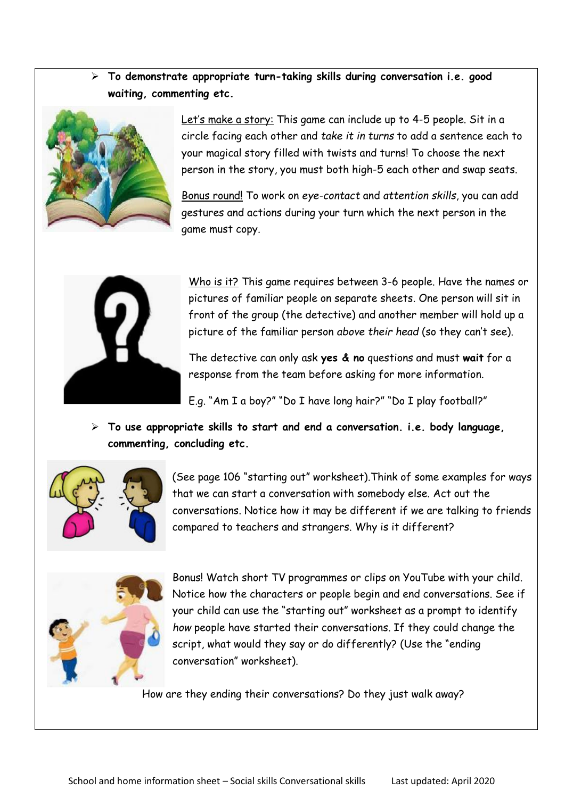**To demonstrate appropriate turn-taking skills during conversation i.e. good waiting, commenting etc.**



Let's make a story: This game can include up to 4-5 people. Sit in a circle facing each other and *take it in turns* to add a sentence each to your magical story filled with twists and turns! To choose the next person in the story, you must both high-5 each other and swap seats.

Bonus round! To work on *eye-contact* and *attention skills*, you can add gestures and actions during your turn which the next person in the game must copy.



Who is it? This game requires between 3-6 people. Have the names or pictures of familiar people on separate sheets. One person will sit in front of the group (the detective) and another member will hold up a picture of the familiar person *above their head* (so they can"t see).

The detective can only ask **yes & no** questions and must **wait** for a response from the team before asking for more information.

E.g. "Am I a boy?" "Do I have long hair?" "Do I play football?"

 **To use appropriate skills to start and end a conversation. i.e. body language, commenting, concluding etc.**



(See page 106 "starting out" worksheet).Think of some examples for ways that we can start a conversation with somebody else. Act out the conversations. Notice how it may be different if we are talking to friends compared to teachers and strangers. Why is it different?



Bonus! Watch short TV programmes or clips on YouTube with your child. Notice how the characters or people begin and end conversations. See if your child can use the "starting out" worksheet as a prompt to identify *how* people have started their conversations. If they could change the script, what would they say or do differently? (Use the "ending conversation" worksheet).

How are they ending their conversations? Do they just walk away?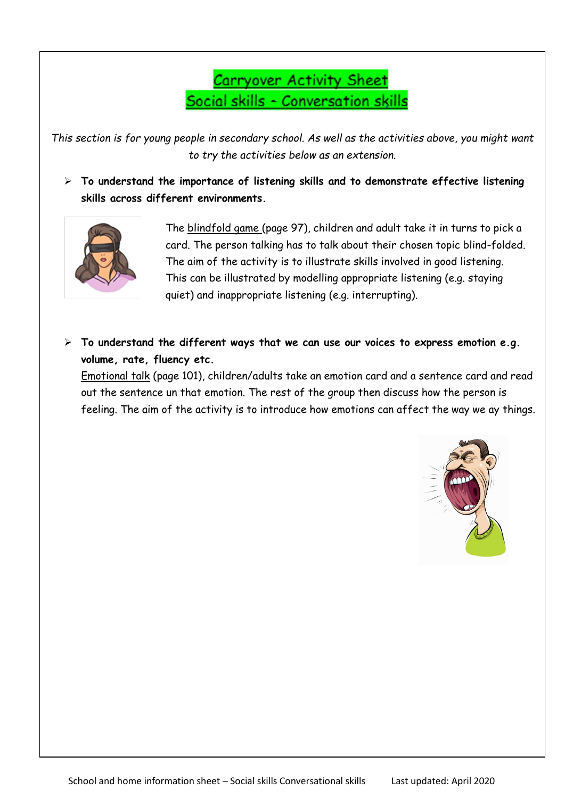# Carryover Activity Sheet Social skills - Conversation skills

*This section is for young people in secondary school. As well as the activities above, you might want to try the activities below as an extension.*

 **To understand the importance of listening skills and to demonstrate effective listening skills across different environments.**



The blindfold game (page 97), children and adult take it in turns to pick a card. The person talking has to talk about their chosen topic blind-folded. The aim of the activity is to illustrate skills involved in good listening. This can be illustrated by modelling appropriate listening (e.g. staying quiet) and inappropriate listening (e.g. interrupting).

 **To understand the different ways that we can use our voices to express emotion e.g. volume, rate, fluency etc.** 

Emotional talk (page 101), children/adults take an emotion card and a sentence card and read out the sentence un that emotion. The rest of the group then discuss how the person is feeling. The aim of the activity is to introduce how emotions can affect the way we ay things.

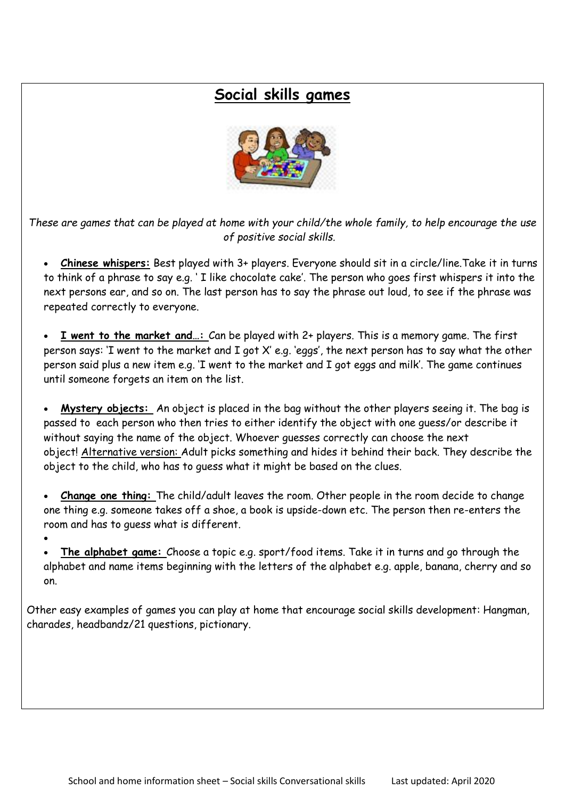### **Social skills games**



*These are games that can be played at home with your child/the whole family, to help encourage the use of positive social skills.*

 **Chinese whispers:** Best played with 3+ players. Everyone should sit in a circle/line.Take it in turns to think of a phrase to say e.g. " I like chocolate cake". The person who goes first whispers it into the next persons ear, and so on. The last person has to say the phrase out loud, to see if the phrase was repeated correctly to everyone.

 **I went to the market and…:** Can be played with 2+ players. This is a memory game. The first person says: "I went to the market and I got X" e.g. "eggs", the next person has to say what the other person said plus a new item e.g. "I went to the market and I got eggs and milk". The game continues until someone forgets an item on the list.

 **Mystery objects:** An object is placed in the bag without the other players seeing it. The bag is passed to each person who then tries to either identify the object with one guess/or describe it without saying the name of the object. Whoever guesses correctly can choose the next object! Alternative version: Adult picks something and hides it behind their back. They describe the object to the child, who has to guess what it might be based on the clues.

 **Change one thing:** The child/adult leaves the room. Other people in the room decide to change one thing e.g. someone takes off a shoe, a book is upside-down etc. The person then re-enters the room and has to guess what is different.

 $\bullet$ 

 **The alphabet game:** Choose a topic e.g. sport/food items. Take it in turns and go through the alphabet and name items beginning with the letters of the alphabet e.g. apple, banana, cherry and so on.

Other easy examples of games you can play at home that encourage social skills development: Hangman, charades, headbandz/21 questions, pictionary.